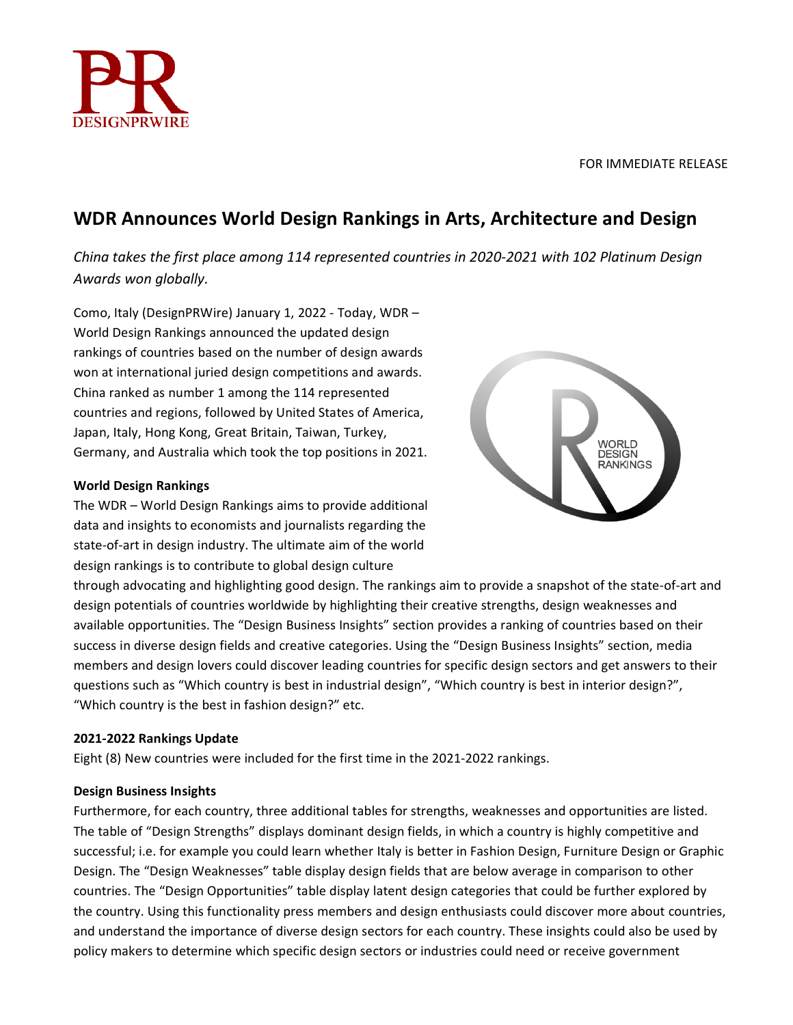

# **WDR Announces World Design Rankings in Arts, Architecture and Design**

*China takes the first place among 114 represented countries in 2020-2021 with 102 Platinum Design Awards won globally.*

Como, Italy (DesignPRWire) January 1, 2022 - Today, WDR – World Design Rankings announced the updated design rankings of countries based on the number of design awards won at international juried design competitions and awards. China ranked as number 1 among the 114 represented countries and regions, followed by United States of America, Japan, Italy, Hong Kong, Great Britain, Taiwan, Turkey, Germany, and Australia which took the top positions in 2021.

## **World Design Rankings**

The WDR – World Design Rankings aims to provide additional data and insights to economists and journalists regarding the state-of-art in design industry. The ultimate aim of the world design rankings is to contribute to global design culture



through advocating and highlighting good design. The rankings aim to provide a snapshot of the state-of-art and design potentials of countries worldwide by highlighting their creative strengths, design weaknesses and available opportunities. The "Design Business Insights" section provides a ranking of countries based on their success in diverse design fields and creative categories. Using the "Design Business Insights" section, media members and design lovers could discover leading countries for specific design sectors and get answers to their questions such as "Which country is best in industrial design", "Which country is best in interior design?", "Which country is the best in fashion design?" etc.

# **2021-2022 Rankings Update**

Eight (8) New countries were included for the first time in the 2021-2022 rankings.

## **Design Business Insights**

Furthermore, for each country, three additional tables for strengths, weaknesses and opportunities are listed. The table of "Design Strengths" displays dominant design fields, in which a country is highly competitive and successful; i.e. for example you could learn whether Italy is better in Fashion Design, Furniture Design or Graphic Design. The "Design Weaknesses" table display design fields that are below average in comparison to other countries. The "Design Opportunities" table display latent design categories that could be further explored by the country. Using this functionality press members and design enthusiasts could discover more about countries, and understand the importance of diverse design sectors for each country. These insights could also be used by policy makers to determine which specific design sectors or industries could need or receive government